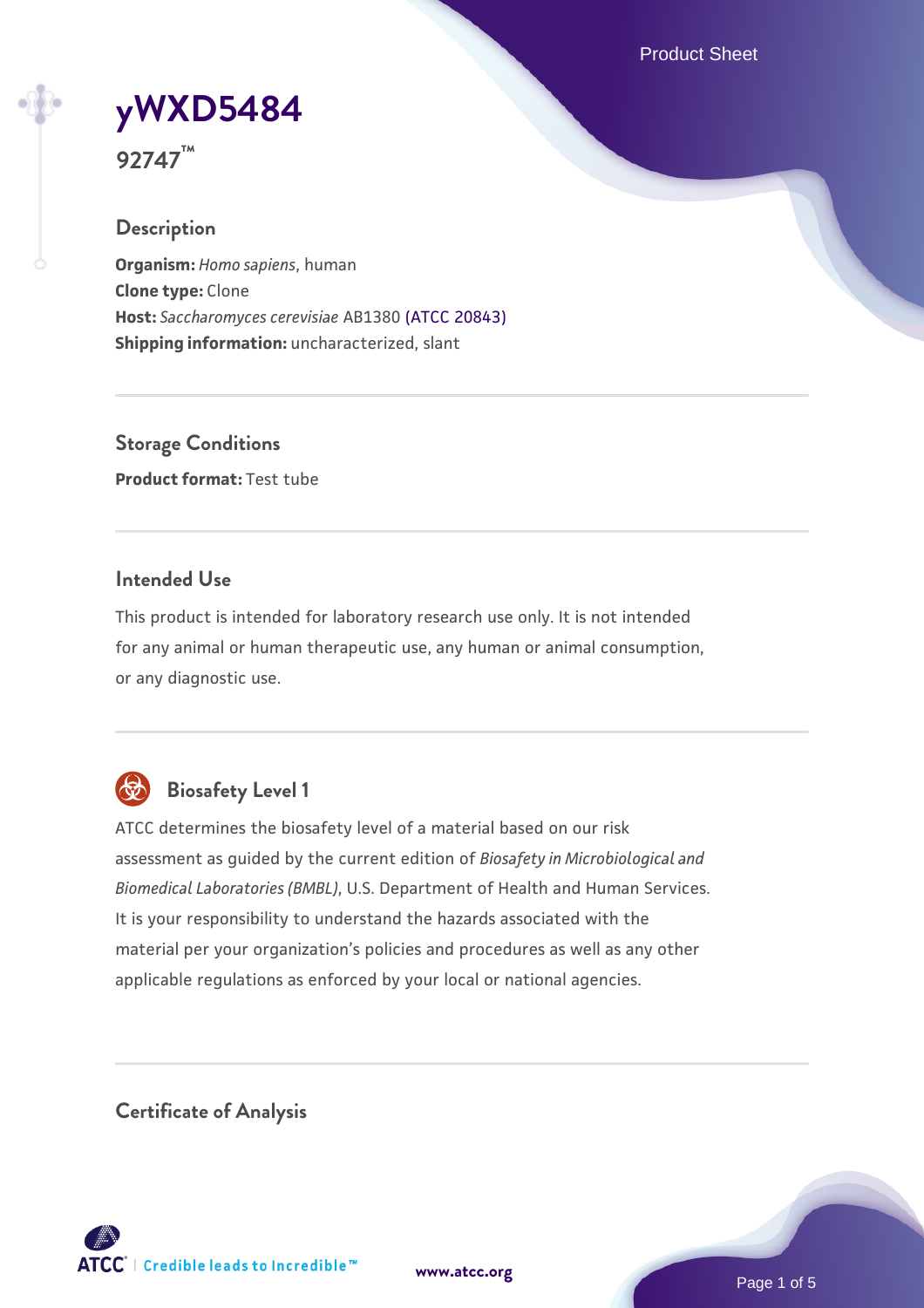Product Sheet

# **[yWXD5484](https://www.atcc.org/products/92747)**

**92747™**

# **Description**

**Organism:** *Homo sapiens*, human **Clone type:** Clone **Host:** *Saccharomyces cerevisiae* AB1380 [\(ATCC 20843\)](https://www.atcc.org/products/20843) **Shipping information:** uncharacterized, slant

**Storage Conditions Product format:** Test tube

# **Intended Use**

This product is intended for laboratory research use only. It is not intended for any animal or human therapeutic use, any human or animal consumption, or any diagnostic use.



# **Biosafety Level 1**

ATCC determines the biosafety level of a material based on our risk assessment as guided by the current edition of *Biosafety in Microbiological and Biomedical Laboratories (BMBL)*, U.S. Department of Health and Human Services. It is your responsibility to understand the hazards associated with the material per your organization's policies and procedures as well as any other applicable regulations as enforced by your local or national agencies.

**Certificate of Analysis**

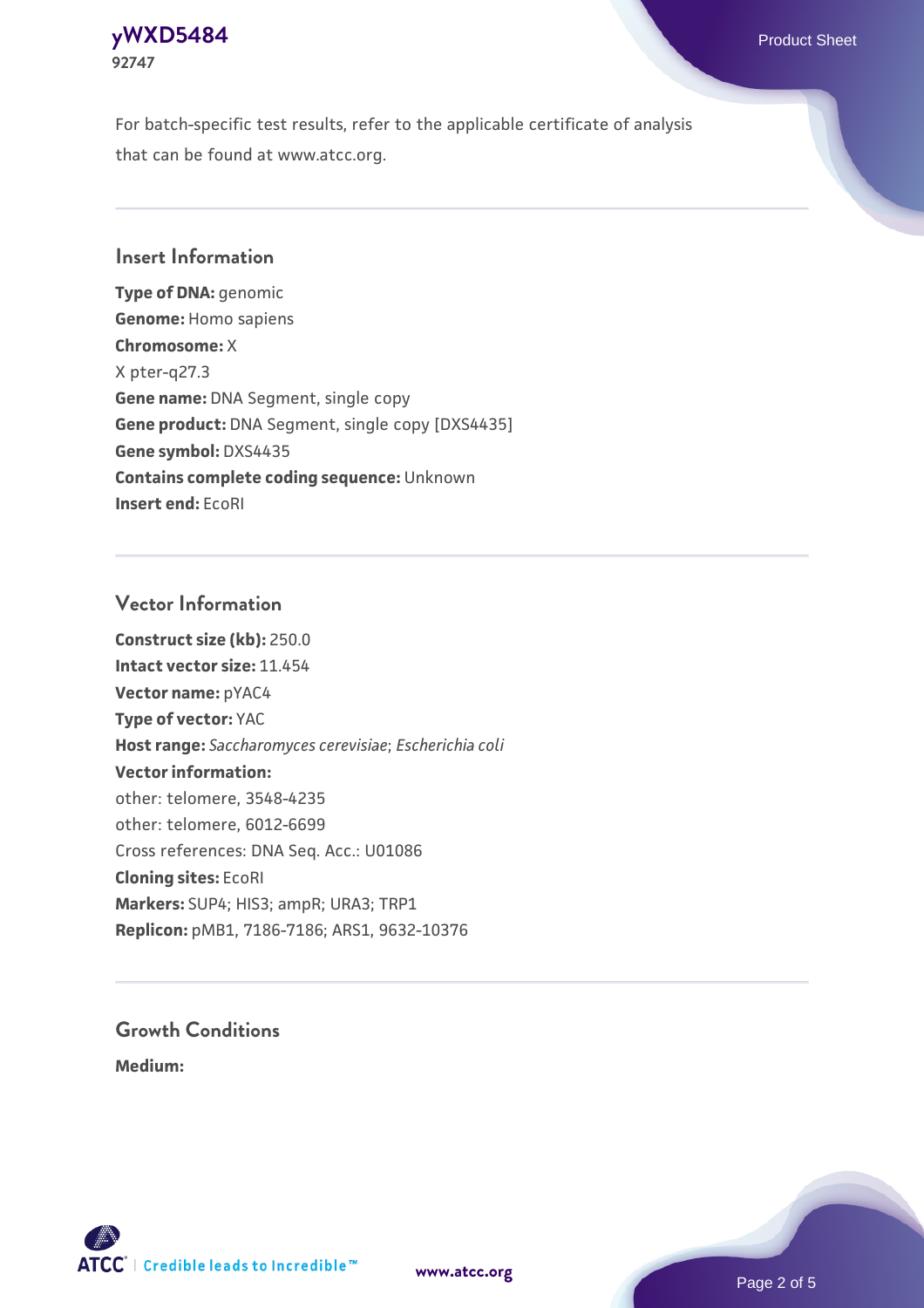### **[yWXD5484](https://www.atcc.org/products/92747)** Product Sheet **92747**

For batch-specific test results, refer to the applicable certificate of analysis that can be found at www.atcc.org.

# **Insert Information**

**Type of DNA:** genomic **Genome:** Homo sapiens **Chromosome:** X X pter-q27.3 **Gene name:** DNA Segment, single copy **Gene product:** DNA Segment, single copy [DXS4435] **Gene symbol:** DXS4435 **Contains complete coding sequence:** Unknown **Insert end:** EcoRI

## **Vector Information**

**Construct size (kb):** 250.0 **Intact vector size:** 11.454 **Vector name:** pYAC4 **Type of vector:** YAC **Host range:** *Saccharomyces cerevisiae*; *Escherichia coli* **Vector information:** other: telomere, 3548-4235 other: telomere, 6012-6699 Cross references: DNA Seq. Acc.: U01086 **Cloning sites:** EcoRI **Markers:** SUP4; HIS3; ampR; URA3; TRP1 **Replicon:** pMB1, 7186-7186; ARS1, 9632-10376

# **Growth Conditions**

**Medium:** 



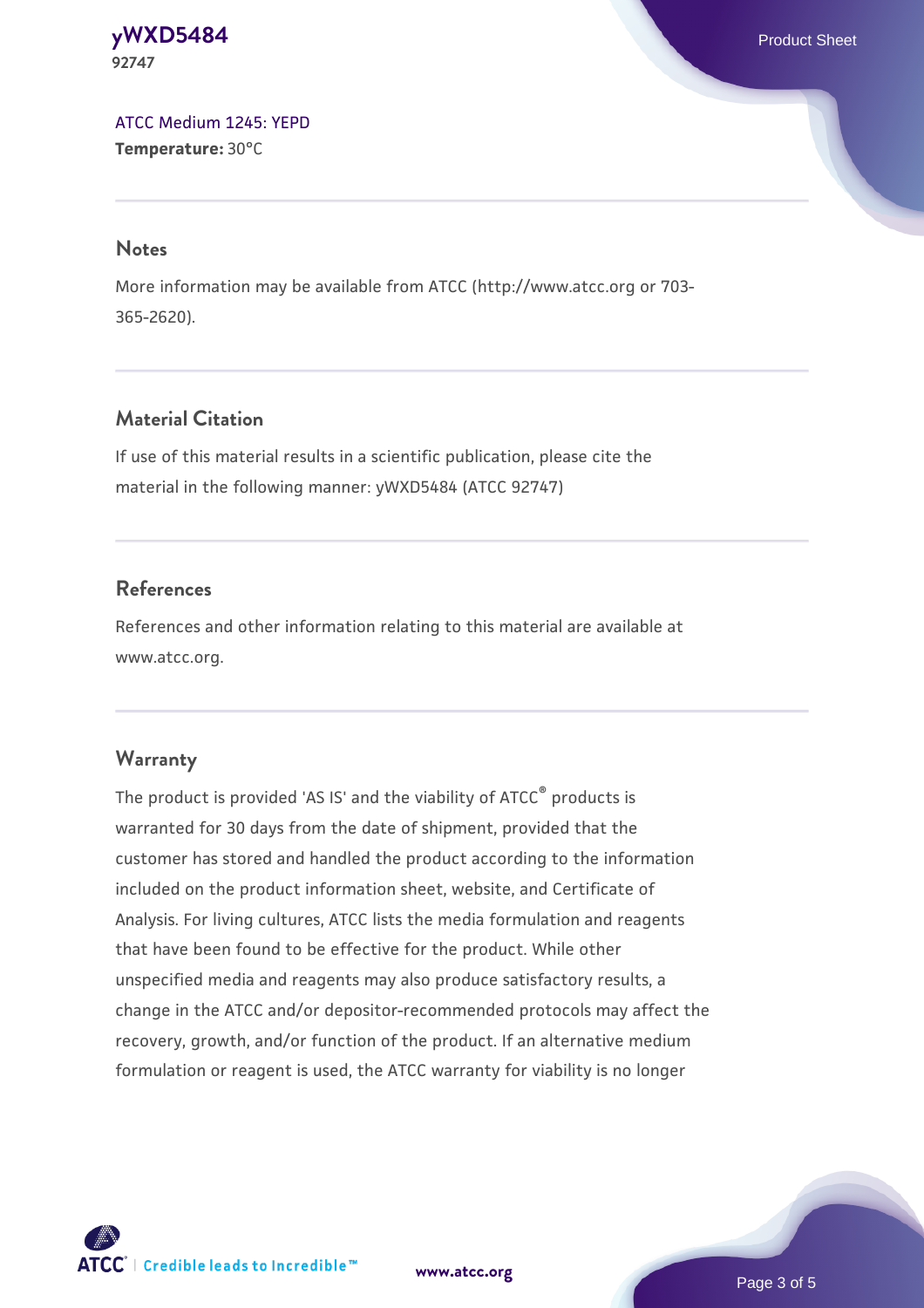#### **[yWXD5484](https://www.atcc.org/products/92747)** Product Sheet **92747**

[ATCC Medium 1245: YEPD](https://www.atcc.org/-/media/product-assets/documents/microbial-media-formulations/1/2/4/5/atcc-medium-1245.pdf?rev=705ca55d1b6f490a808a965d5c072196) **Temperature:** 30°C

#### **Notes**

More information may be available from ATCC (http://www.atcc.org or 703- 365-2620).

# **Material Citation**

If use of this material results in a scientific publication, please cite the material in the following manner: yWXD5484 (ATCC 92747)

# **References**

References and other information relating to this material are available at www.atcc.org.

# **Warranty**

The product is provided 'AS IS' and the viability of ATCC® products is warranted for 30 days from the date of shipment, provided that the customer has stored and handled the product according to the information included on the product information sheet, website, and Certificate of Analysis. For living cultures, ATCC lists the media formulation and reagents that have been found to be effective for the product. While other unspecified media and reagents may also produce satisfactory results, a change in the ATCC and/or depositor-recommended protocols may affect the recovery, growth, and/or function of the product. If an alternative medium formulation or reagent is used, the ATCC warranty for viability is no longer



**[www.atcc.org](http://www.atcc.org)**

Page 3 of 5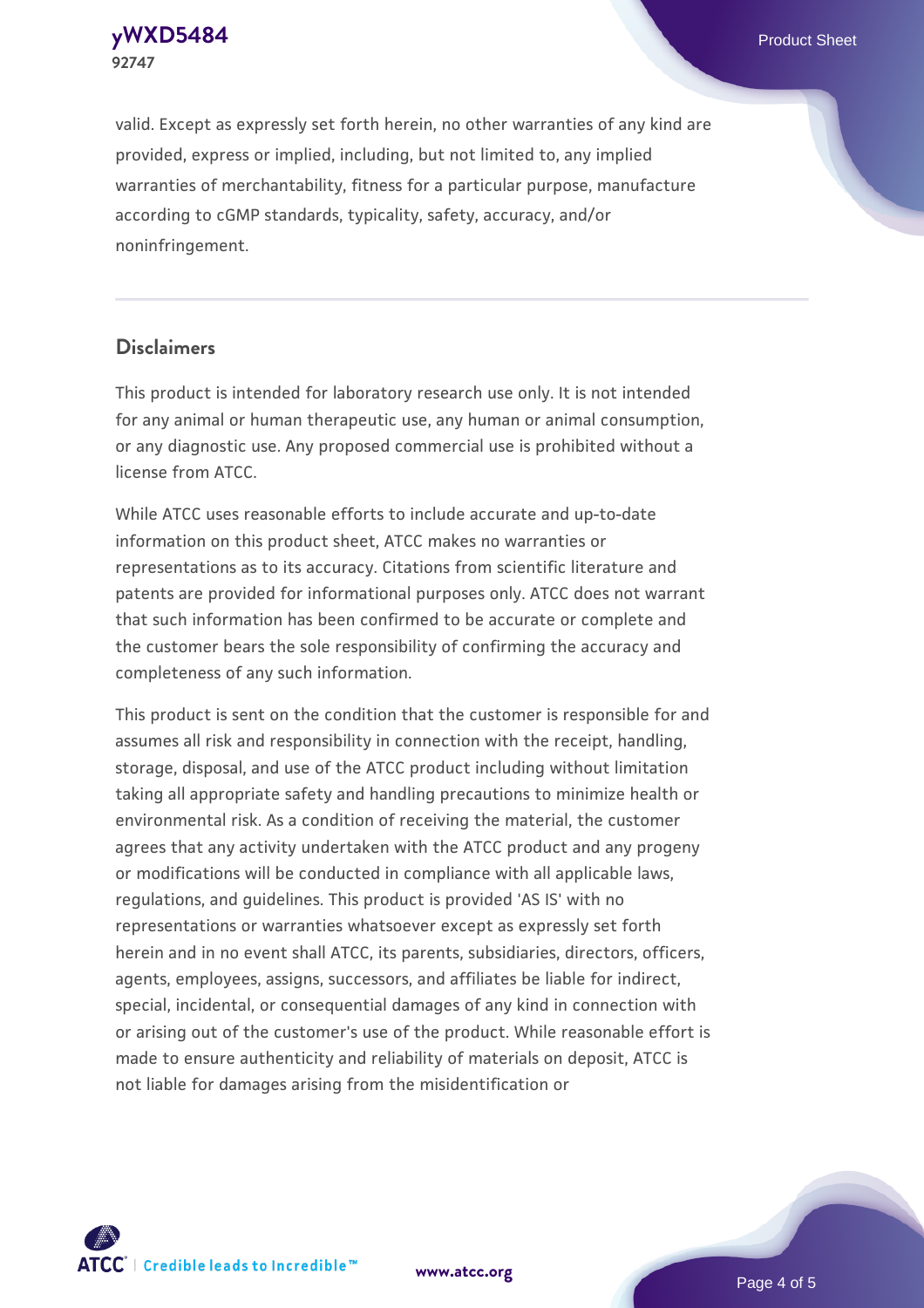**92747**

valid. Except as expressly set forth herein, no other warranties of any kind are provided, express or implied, including, but not limited to, any implied warranties of merchantability, fitness for a particular purpose, manufacture according to cGMP standards, typicality, safety, accuracy, and/or noninfringement.

#### **Disclaimers**

This product is intended for laboratory research use only. It is not intended for any animal or human therapeutic use, any human or animal consumption, or any diagnostic use. Any proposed commercial use is prohibited without a license from ATCC.

While ATCC uses reasonable efforts to include accurate and up-to-date information on this product sheet, ATCC makes no warranties or representations as to its accuracy. Citations from scientific literature and patents are provided for informational purposes only. ATCC does not warrant that such information has been confirmed to be accurate or complete and the customer bears the sole responsibility of confirming the accuracy and completeness of any such information.

This product is sent on the condition that the customer is responsible for and assumes all risk and responsibility in connection with the receipt, handling, storage, disposal, and use of the ATCC product including without limitation taking all appropriate safety and handling precautions to minimize health or environmental risk. As a condition of receiving the material, the customer agrees that any activity undertaken with the ATCC product and any progeny or modifications will be conducted in compliance with all applicable laws, regulations, and guidelines. This product is provided 'AS IS' with no representations or warranties whatsoever except as expressly set forth herein and in no event shall ATCC, its parents, subsidiaries, directors, officers, agents, employees, assigns, successors, and affiliates be liable for indirect, special, incidental, or consequential damages of any kind in connection with or arising out of the customer's use of the product. While reasonable effort is made to ensure authenticity and reliability of materials on deposit, ATCC is not liable for damages arising from the misidentification or



**[www.atcc.org](http://www.atcc.org)**

Page 4 of 5